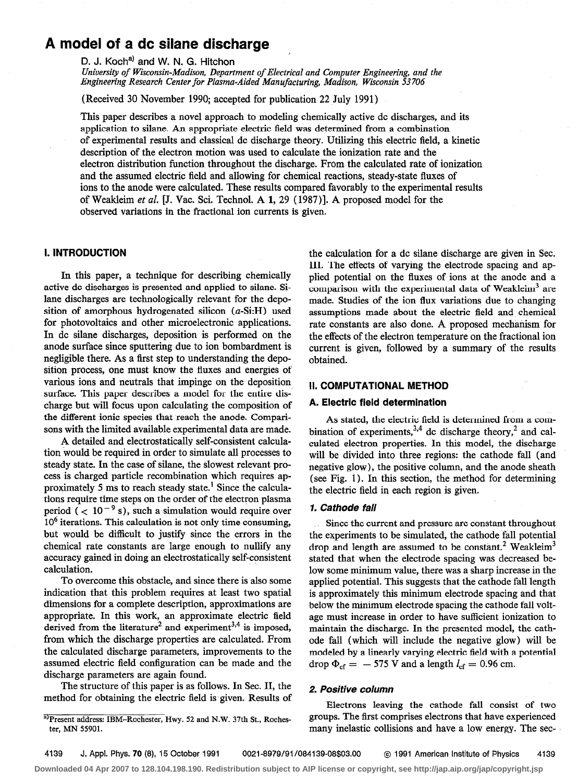# A model of a dc silane discharge

D. J. Koch<sup>a)</sup> and W. N. G. Hitchon

University of Wisconsin-Madison, Department of Electrical and Computer Engineering, and the Engineering Research Center for Plasma-Aided Manufacturing, Madison, Wisconsin 53706

(Received 30 November 1990; accepted for publication 22 July 1991)

This paper describes a novel approach to modeling chemically active dc discharges, and its application to silane. An appropriate electric field was determined from a combination of experimental results and classical dc discharge theory. Utilizing this electric field, a kinetic description of the electron motion was used to calculate the ionization rate and the electron distribution function throughout the discharge. From the calculated rate of ionization and the assumed electric field and allowing for chemical reactions, steady-state fluxes of ions to the anode were calculated. These results compared favorably to the experimental results of Weakleim et al. [J. Vac. Sci. Technol. A 1, 29 (1987)]. A proposed model for the observed variations in the fractional ion currents is given.

## 1. INTRODUCTION

In this paper, a technique for describing chemically active dc discharges is presented and applied to silane. Silane discharges are technologically relevant for the deposition of amorphous hydrogenated silicon  $(a-Si:H)$  used for photovoltaics and other microelectronic applications. In dc silane discharges, deposition is performed on the anode surface since sputtering due to ion bombardment is negligible there. As a first step to understanding the deposition process, one must know the fluxes and energies of various ions and neutrals that impinge on the deposition surface. This paper describes a model for the entire discharge but will focus upon calculating the composition of the different ionic species that reach the anode. Comparisons with the limited available experimental data are made.

A detailed and electrostatically self-consistent calculation would be required in order to simulate all processes to steady state. In the case of silane, the slowest relevant process is charged particle recombination which requires approximately 5 ms to reach steady state.' Since the calculations require time steps on the order of the electron plasma period  $($  < 10<sup>-9</sup> s), such a simulation would require over  $10<sup>6</sup>$  iterations. This calculation is not only time consuming, but would be difficult to justify since the errors in the chemical rate constants are large enough to nullify any accuracy gained in doing an electrostatically self-consistent calculation.

To overcome this obstacle, and since there is also some indication that this problem requires at least two spatial dimensions for a complete description, approximations are appropriate. In this work, an approximate electric field derived from the literature<sup>2</sup> and experiment<sup>3,4</sup> is imposed, from which the discharge properties are calculated. From the calculated discharge parameters, improvements to the assumed electric field configuration can be made and the discharge parameters are again found.

The structure of this paper is as follows. In Sec. II, the method for obtaining the electric field is given. Results of the calculation for a dc silane discharge are given in Sec. III. The effects of varying the electrode spacing and applied potential on the fluxes of ions at the anode and a comparison with the experimental data of Weakleim<sup>3</sup> are made. Studies of the ion flux variations due to changing assumptions made about the electric field and chemical rate constants are also done. A proposed mechanism for the effects of the electron temperature on the fractional ion current is given, followed by a summary of the results obtained.

## II. COMPUTATlONAL METHOD

### A. Electric field determination

As stated, the electric field is determined from a combination of experiments,  $3,4$  dc discharge theory,<sup>2</sup> and calculated electron properties. In this model, the discharge will be divided into three regions: the cathode fall (and negative glow), the positive column, and the anode sheath (see Fig. 1). In this section, the method for determining the electric field in each region is given.

## 1. Cathode fall

Since the current and pressure are constant throughout the experiments to be simulated, the cathode fall potential drop and length are assumed to be constant.<sup>2</sup> Weakleim<sup>3</sup> stated that when the electrode spacing was decreased below some minimum value, there was a sharp increase in the applied potential. This suggests that the cathode fall length is approximately this minimum electrode spacing and that below the minimum electrode spacing the cathode fall voltage must increase in order to have sufficient ionization to maintain the discharge. In the presented model, the cathode fall (which will include the negative glow) will be modeled by a linearly varying electric field with a potential drop  $\Phi_{\text{cf}} = -575$  V and a length  $l_{\text{cf}} = 0.96$  cm.

## 2. Positive column

Electrons leaving the cathode fall consist of two groups. The first comprises electrons that have experienced many inelastic collisions and have a low energy. The sec-

a)Present address: IBM-Rochester, Hwy. 52 and N.W. 37th St., Rochester, MN 55901.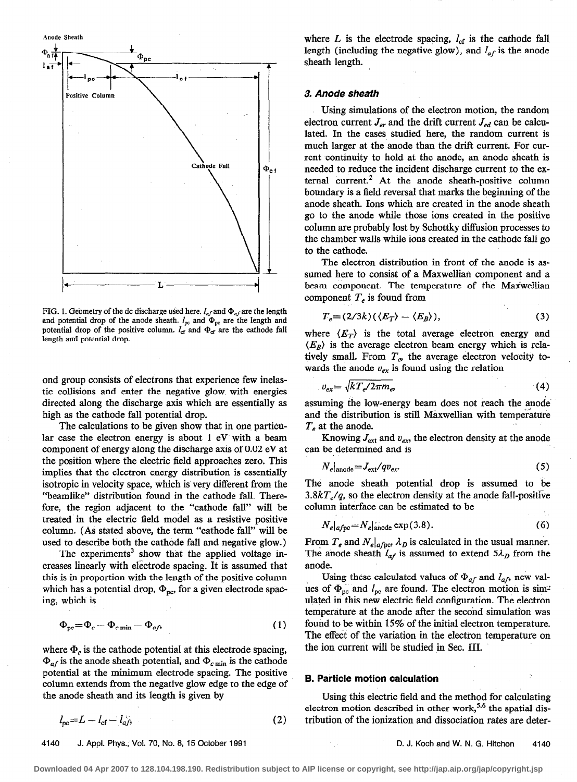

FIG. 1. Geometry of the dc discharge used here.  $l_{af}$  and  $\Phi_{af}$  are the length and potential drop of the anode sheath.  $l_{pc}$  and  $\Phi_{pc}$  are the length and potential drop of the positive column.  $l_{cf}$  and  $\Phi_{cf}$  are the cathode fall length and potential drop.

ond group consists of electrons that experience few inelastic collisions and enter the negative glow with energies directed along the discharge axis which are essentially as high as the cathode fall potential drop.

The calculations to be given show that in one particular case the electron energy is about 1 eV with a beam component of energy along the discharge axis of 0.02 eV at the position where the electric field approaches zero. This implies that the electron energy distribution is essentially isotropic in velocity space, which is very different from the "beamlike" distribution found in the cathode fall. Therefore, the region adjacent to the "cathode fall" will be treated in the electric field model as a resistive positive column. (As stated above, the term "cathode fall" will be used to describe both the cathode fall and negative glow.)

The experiments<sup>3</sup> show that the applied voltage increases linearly with electrode spacing. It is assumed that this is in proportion with the length of the positive column which has a potential drop,  $\Phi_{\text{nc}}$ , for a given electrode spacing, which is

$$
\Phi_{\rm pc} = \Phi_c - \Phi_{c \min} - \Phi_{af},\tag{1}
$$

where  $\Phi_c$  is the cathode potential at this electrode spacing,  $\Phi_{af}$  is the anode sheath potential, and  $\Phi_{c \text{ min}}$  is the cathode potential at the minimum electrode spacing. The positive column extends from the negative glow edge to the edge of the anode sheath and its length is given by

$$
l_{\rm pc} = L - l_{\rm cf} - l_{\rm af},\tag{2}
$$

4140 J. Appl. Phys.; Vol. 70, No. 8, 15 October 1991 D. J. Koch and W . N. G. Hitchon 4140

where  $L$  is the electrode spacing,  $l_{cf}$  is the cathode fall length (including the negative glow), and  $l_{af}$  is the anode sheath length.

#### 3. Anode sheath

Using simulations of the electron motion, the random electron current  $J_{er}$  and the drift current  $J_{ed}$  can be calculated. In the cases studied here, the random current is much larger at the anode than the drift current. For current continuity to hold at the anode, an anode sheath is needed to reduce the incident discharge current to the external current.<sup>2</sup> At the anode sheath-positive column boundary is a field reversal that marks the beginning of the anode sheath. Ions which are created in the anode sheath go to the anode while those ions created in the positive column are probably lost by Schottky diffusion processes to the chamber walls while ions created in the cathode fall go to the cathode.

The electron distribution in front of the anode is assumed here to consist of a Maxwellian component and a beam component. The temperature of the Maxwellian component  $T_e$  is found from

$$
T_e = (2/3k)(\langle E_T \rangle - \langle E_B \rangle), \tag{3}
$$

where  $\langle E_T \rangle$  is the total average electron energy and  $\langle E_B \rangle$  is the average electron beam energy which is relatively small. From  $T_e$ , the average electron velocity towards the anode  $v_{ex}$  is found using the relation

$$
v_{ex} = \sqrt{kT_e/2\pi m_e} \tag{4}
$$

assuming the low-energy beam does not reach the anode and the distribution is still Maxwellian with temperature  $T_e$  at the anode.

Knowing  $J_{\text{ext}}$  and  $v_{ex}$ , the electron density at the anode can be determined and is

$$
N_e|_{\text{anode}} = J_{\text{ext}}/qv_{ex}.\tag{5}
$$

The anode sheath potential drop is assumed to be  $3.8kT<sub>e</sub>/q$ , so the electron density at the anode fall-positive column interface can be estimated to be

$$
N_e|_{\text{afpc}} = N_e|_{\text{anode}} \exp(3.8). \tag{6}
$$

From  $T_e$  and  $N_e|_{a fpc}$ ,  $\lambda_D$  is calculated in the usual manner. The anode sheath  $l_{af}$  is assumed to extend  $5\lambda_D$  from the anode.

Using these calculated values of  $\Phi_{af}$  and  $l_{af}$ , new values of  $\Phi_{\text{pc}}$  and  $l_{\text{pc}}$  are found. The electron motion is simulated in this new electric field configuration. The electron temperature at the anode after the second simulation was found to be within 15% of the initial electron temperature. The effect of the variation in the electron temperature on the ion current will be studied in Sec. III.

#### B. Particle motion calculation

Using this electric field and the method for calculating electron motion described in other work,<sup>5,6</sup> the spatial distribution of the ionization and dissociation rates are deter-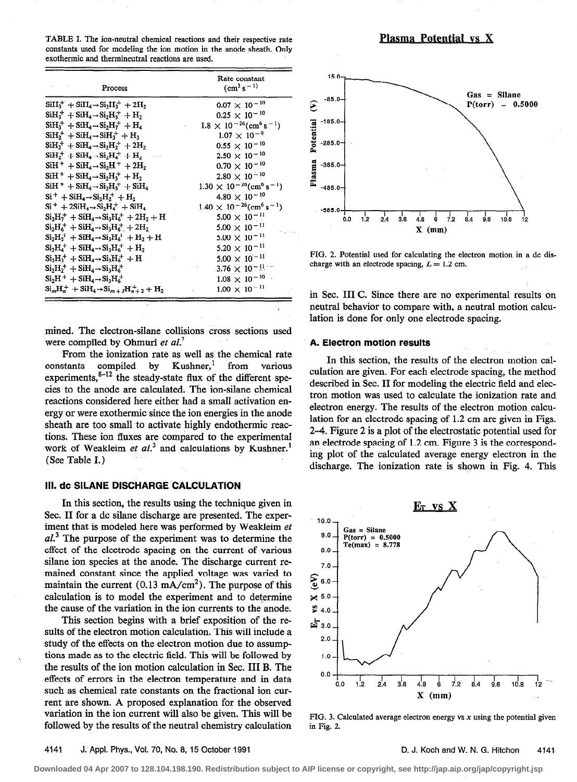TABLE I. The ion-neutral chemical reactions and their respective rate constants used for modeling the ion motion in the anode sheath. Only exothermic and thermineutral reactions are used.

| Process                                                                                                       | Rate constant<br>$\rm (cm^3\,s^{-1})$                     |
|---------------------------------------------------------------------------------------------------------------|-----------------------------------------------------------|
| $\text{SiH}_{3}^{+} + \text{SiH}_{4} \rightarrow \text{Si}_{2} \text{H}_{3}^{+} + 2 \text{H}_{2}$             | $0.07 \times 10^{-10}$                                    |
| $SiH_3^+ + SiH_4 \rightarrow Si_2H_5^+ + H_2$                                                                 | $0.25 \times 10^{-10}$                                    |
| $SiH3+ + SiH4 \rightarrow Si2H7+ + H4$                                                                        | $1.8 \times 10^{-26}$ (cm <sup>6</sup> s <sup>-1</sup> )  |
| $\text{SiH}_{2}^{+} + \text{SiH}_{4} \rightarrow \text{SiH}_{3}^{+} + \text{H}_{3}$                           | $1.07 \times 10^{-9}$                                     |
| $SiH_2^+ + SiH_4 \rightarrow Si_2H_2^+ + 2H_2$                                                                | $0.55 \times 10^{-10}$                                    |
| $\text{SiH}_{2}^{+} + \text{SiH}_{4} \rightarrow \text{Si}_{2} \text{H}_{4}^{+} + \text{H}_{2}$               | $2.50 \times 10^{-10}$                                    |
| $\rm SiH^+ + SiH_4 \rightarrow Si_2H^+ + 2H_2$                                                                | $0.70 \times 10^{-10}$                                    |
| $SiH^+ + SiH_4 \rightarrow Si_2H_3^+ + H_2$                                                                   | $2.80 \times 10^{-10}$                                    |
| $SiH^+ + SiH_4 \rightarrow Si_2H_5^+ + SiH_4$                                                                 | $1.30 \times 10^{-26}$ (cm <sup>6</sup> s <sup>-1</sup> ) |
| $Si^+ + SiH_4 \rightarrow Si_2H_2^+ + H_2$                                                                    | $4.80 \times 10^{-10}$                                    |
| $Si^+ + 2SiH_4 \rightarrow Si_2H_4^+ + SiH_4$                                                                 | $1.40 \times 10^{-26}$ (cm <sup>6</sup> s <sup>-1</sup> ) |
| $Si_2H_7^+ + SiH_4 \rightarrow Si_3H_6^+ + 2H_2 + H$                                                          | $5.00 \times 10^{-11}$                                    |
| $Si_2H_6^+ + SiH_4 \rightarrow Si_3H_6^+ + 2H_2$                                                              | $5.00 \times 10^{-11}$                                    |
| $Si_2H_5^+ + SiH_4 \rightarrow Si_3H_6^+ + H_2 + H$                                                           | $5.00 \times 10^{-11}$                                    |
| $Si_2H_a^+ + SiH_a \rightarrow Si_2H_a^+ + H_2$                                                               | $5.20 \times 10^{-11}$                                    |
| $Si_2H_2^+ + SiH_4 \rightarrow Si_3H_6^+ + H$                                                                 | $5.00 \times 10^{-11}$                                    |
| $Si_2H_2^+ + SiH_4 \rightarrow Si_3H_6^+$                                                                     | 3.76 $\times$ 10 <sup>-11</sup>                           |
| $Si2H+ + SiH4 \rightarrow Si3H6+$                                                                             | $1.08 \times 10^{-10}$                                    |
| $\text{Si}_{m}\text{H}_{n}^{+} + \text{SiH}_{4} \rightarrow \text{Si}_{m+1}\text{H}_{n+2}^{+} + \text{H}_{2}$ | $1.00 \times 10^{-11}$                                    |

mined. The electron-silane collisions cross sections used were compiled by Ohmuri et al.<sup>7</sup>

From the ionization rate as well as the chemical rate  $constants$  compiled by  $Kushner,$ <sup>1</sup> from various experiments, $8-12$  the steady-state flux of the different species to the anode are calculated. The ion-silane chemical reactions considered here either had a small activation energy or were exothermic since the ion energies in the anode sheath are too small-to activate highly endothermic reactions. These ion fluxes are compared to the experimental work of Weakleim et  $al^3$  and calculations by Kushner.<sup>1</sup> (See Table I.)

## 111. dc SILANE DISCHARGE CALCULATION

In this section, the results using the technique given in Sec. II for a dc silane discharge are presented. The experiment that is modeled here was performed by Weakleim et  $al<sup>3</sup>$ . The purpose of the experiment was to determine the effect of the electrode spacing on the current of various silane ion species at the anode. The discharge current remained constant since the applied voltage was varied to maintain the current  $(0.13 \text{ mA/cm}^2)$ . The purpose of this calculation is to model the experiment and to determine the cause of the variation in the ion currents to the anode.

This section begins with a brief exposition of the results of the electron motion calculation. This will include a study of the effects on the electron motion due to assumptions made as to the electric field. This will be followed by the results of the ion motion calculation in Sec. III B. The effects of errors in the electron temperature and in data such as chemical rate constants on the fractional ion current are shown. A proposed explanation for the observed variation in the ion current will also be given. This will be followed by the results of the neutral chemistry calculation



FIG. 2. Potential used for calculating the electron motion in a dc discharge with an electrode spacing,  $L = 1.2$  cm.

in Sec. III C. Since there are no experimental results on neutral behavior to compare with, a neutral motion calculation is done for only one electrode spacing.

#### A. Electron motion results

In this section, the results of the electron motion calculation are given. For each electrode spacing, the method described in Sec. II for modeling the electric field and electron motion was used to calculate the ionization rate and electron energy. The results of the electron motion calculation for an electrode spacing of 1.2 cm are given in Figs. 2-4. Figure 2 is a plot of the electrostatic potential used for an electrode spacing of 1.2 cm. Figure 3 is the corresponding plot of the calculated average energy electron in the discharge. The ionization rate is shown in Fig. 4. This



FIG. 3. Calculated average electron energy vs  $x$  using the potential given in Fig. 2.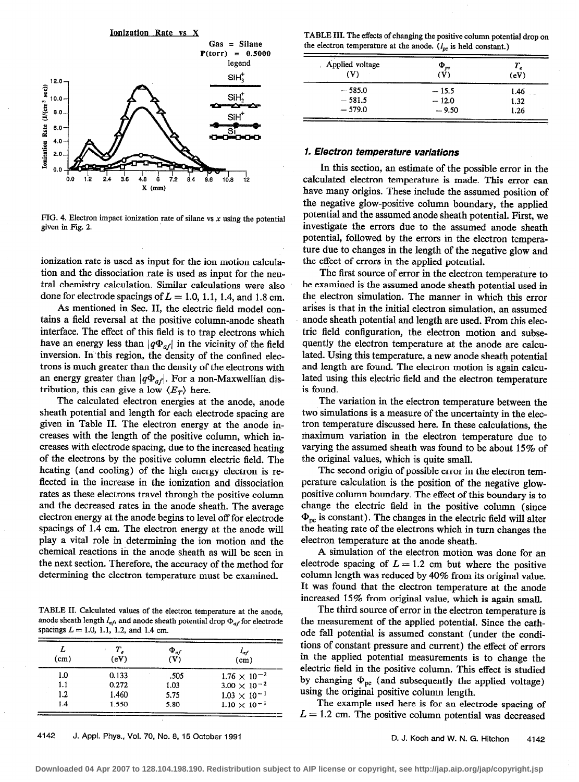

FIG. 4. Electron impact ionization rate of silane vs  $x$  using the potential given in Fig. 2.

ionization rate is used as input for the ion motion calculation and the dissociation rate is used as input for the neutral chemistry calculation. Similar calculations were also done for electrode spacings of  $L = 1.0, 1.1, 1.4,$  and 1.8 cm.

As mentioned in Sec. II, the electric field model contains a field reversal at the positive column-anode sheath interface. The effect of this field is to trap electrons which have an energy less than  $|q\Phi_{af}|$  in the vicinity of the field inversion. In this region, the density of the confined electrons is much greater than the density of the electrons with an energy greater than  $|q\Phi_{af}|$ . For a non-Maxwellian distribution, this can give a low  $\langle E_T \rangle$  here.

The calculated electron energies at the anode, anode sheath potential and length for each electrode spacing are given in Table II. The electron energy at the anode increases with the length of the positive column, which increases with electrode spacing, due to the increased heating of the electrons by the positive column electric field. The heating (and cooling) of the high energy electron is reflected in the increase in the ionization and dissociation rates as these electrons travel through the positive column and the decreased rates in the anode sheath. The average electron energy at the anode begins to level off for electrode spacings of 1.4 cm. The electron energy at the anode will play a vital role in determining the ion motion and the chemical reactions in the anode sheath as will be seen in the next section. Therefore, the accuracy of the method for determining the electron temperature must be examined.

TABLE II. Calculated values of the electron temperature at the anode, anode sheath length  $I_{af}$ , and anode sheath potential drop  $\Phi_{af}$  for electrode spacings  $L = 1.0, 1.1, 1.2,$  and 1.4 cm.

| (cm) | Т.<br>(eV) | $\Phi_{af}$<br>(V) | $\frac{l_{af}}{(\text{cm})}$ |
|------|------------|--------------------|------------------------------|
| 1.0  | 0.133      | .505               | $1.76 \times 10^{-2}$        |
| 1.1  | 0.272      | 1.03               | $3.00 \times 10^{-2}$        |
| 1.2  | 1.460      | 5.75               | $1.03 \times 10^{-1}$        |
| 1.4  | 1.550      | 5.80               | $1.10 \times 10^{-1}$        |

TABLE III. The effects of changing the positive column potential drop on the electron temperature at the anode.  $(I_{pc}$  is held constant.)

| Applied voltage<br>(V) | $\Phi_{pc}$<br>$(\overline{V})$ | Τ,<br>(eV) |
|------------------------|---------------------------------|------------|
| $-585.0$               | $-15.5$                         | 1.46       |
| $-581.5$               | $-12.0$                         | 1.32       |
| $-579.0$               | $-9.50$                         | 1.26       |

## 7. Electron temperature variations

In this section, an estimate of the possible error in the calculated electron temperature is made. This error can have many origins. These include the assumed position of the negative glow-positive column boundary, the applied potential and the assumed anode sheath potential. First, we investigate the errors due to the assumed anode sheath potential, followed by the errors in the electron temperature due to changes in the length of the negative glow and the effect of errors in the applied potential.

The first source of error in the electron temperature to be examined is the assumed anode sheath potential used in the electron simulation. The manner in which this error arises is that in the initial electron simulation, an assumed anode sheath potential and length are used. From this electric field configuration, the electron motion and subsequently the electron temperature at the anode are calculated. Using this temperature, a new anode sheath potential and length are found. The electron motion is again calculated using this electric field and the electron temperature is found.

The variation in the electron temperature between the two simulations is a measure of the uncertainty in the electron temperature discussed here. In these calculations, the maximum variation in the electron temperature due to varying the assumed sheath was found to be about 15% of the original values, which is quite small.

The second origin of possible error in the electron temperature calculation is the position of the negative glowpositive column boundary. The effect of this boundary is to change the electric field in the positive column (since  $\Phi_{\text{pc}}$  is constant). The changes in the electric field will alter the heating rate of the electrons which in turn changes the electron temperature at the anode sheath.

A simulation of the electron motion was done for an electrode spacing of  $L = 1.2$  cm but where the positive column length was reduced by 40% from its original value. It was found that the electron temperature at the anode increased 15% from original value, which is again small.

The third source of error in the electron temperature is the measurement of the applied potential. Since the cathode fall potential is assumed constant (under the conditions of constant pressure and current) the effect of errors in the applied potential measurements is to change the electric field in the positive column. This effect is studied by changing  $\Phi_{pc}$  (and subsequently the applied voltage) using the original positive column length.

The example used here is for an electrode spacing of  $L = 1.2$  cm. The positive column potential was decreased

4142 J. Appt. Phys., Vol. 70, No. 8, 15 October 1991 D. J. Koch and W. N. G. Hitchon 4142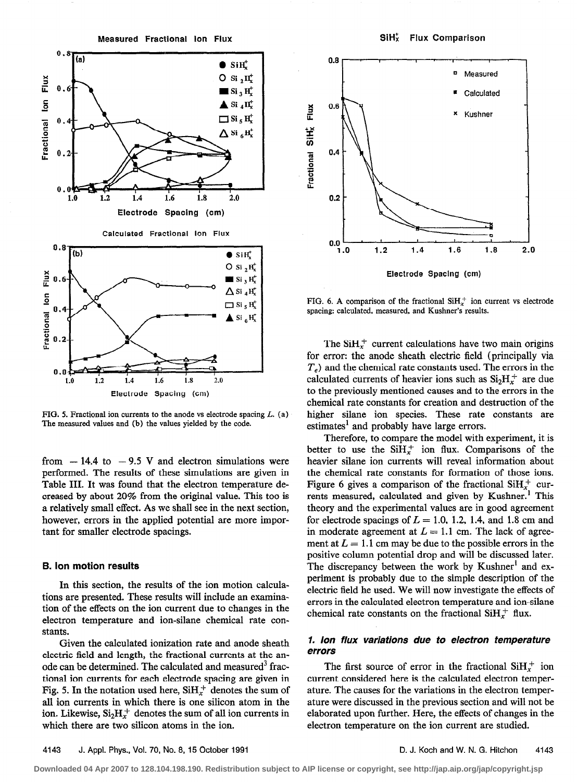Measured Fractional Ion Flux SiH<sub>x</sub> Flux Comparison



FIG. 5. Fractional ion currents to the anode vs electrode spacing  $L$ . (a) The measured values and (b) the values yielded by the code.

from  $-14.4$  to  $-9.5$  V and electron simulations were performed. The results of these simulations are given in Table III. It was found that the electron temperature decreased by about 20% from the original value. This too is a relatively small effect. As we shall see in the next section, however, errors in the applied potential are more important for smaller electrode spacings.

#### B. ion motion results

In this section, the results of the ion motion calculations are presented. These results will include an examination of the effects on the ion current due to changes in the electron temperature and ion-silane chemical rate constants.

Given the calculated ionization rate and anode sheath electric field and length, the fractional currents at the anode can be determined. The calculated and measured<sup>3</sup> fractional ion currents for each electrode spacing are given in Fig. 5. In the notation used here,  $SiH<sub>r</sub><sup>+</sup>$  denotes the sum of all ion currents in which there is one silicon atom in the ion. Likewise,  $Si<sub>2</sub>H<sub>x</sub><sup>+</sup>$  denotes the sum of all ion currents in which there are two silicon atoms in the ion.



FIG. 6. A comparison of the fractional  $SiH<sub>x</sub><sup>+</sup>$  ion current vs electrode spacing: calculated, measured, and Kushner's results.

The SiH $<sub>x</sub><sup>+</sup>$  current calculations have two main origins</sub> for error: the anode sheath electric field (principally via  $T<sub>e</sub>$ ) and the chemical rate constants used. The errors in the calculated currents of heavier ions such as  $Si<sub>2</sub>H<sub>x</sub><sup>+</sup>$  are due to the previously mentioned causes and to the errors in the chemical rate constants for creation and destruction of the higher silane ion species. These rate constants are estimates<sup>1</sup> and probably have large errors.

Therefore, to compare the model with experiment, it is better to use the  $\text{SiH}_{x}^{+}$  ion flux. Comparisons of the heavier silane ion currents will reveal information about the chemical rate constants for formation of those ions. Figure 6 gives a comparison of the fractional  $SiH<sub>x</sub><sup>+</sup>$  currents measured, calculated and given by Kushner.<sup>1</sup> This theory and the experimental values are in good agreement for electrode spacings of  $L = 1.0, 1.2, 1.4,$  and 1.8 cm and in moderate agreement at  $L = 1.1$  cm. The lack of agreement at  $L = 1.1$  cm may be due to the possible errors in the positive column potential drop and will be discussed later. The discrepancy between the work by Kushner<sup>1</sup> and experiment is probably due to the simple description of the electric field he used. We will now investigate the effects of errors in the calculated electron temperature and ion-silane chemical rate constants on the fractional  $\text{SiH}_{x}^{+}$  flux.

## 1. ion flux variations due to electron temperature errors

The first source of error in the fractional  $SH_{r}^{+}$  ion current considered here is the calculated electron temperature. The causes for the variations in the electron temperature were discussed in the previous section and will not be elaborated upon further. Here, the effects of changes in the electron temperature on the ion current are studied.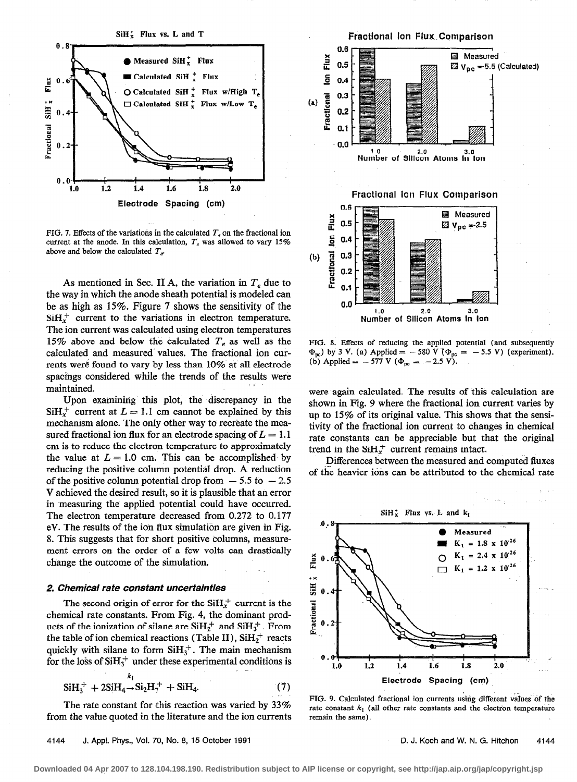

FIG. 7. Effects of the variations in the calculated  $T<sub>e</sub>$  on the fractional ion current at the anode. In this calculation,  $T_e$  was allowed to vary 15% above and below the calculated  $T_e$ .

As mentioned in Sec. II A, the variation in  $T_e$  due to the way in which the anode sheath potential is modeled can be as high as 15%. Figure 7 shows the sensitivity of the  $SiH<sub>x</sub><sup>+</sup>$  current to the variations in electron temperature. The ion current was calculated using electron temperatures 15% above and below the calculated  $T_e$  as well as the calculated and measured values. The fractional ion currents were found to vary by less than 10% at all electrode spacings considered while the trends of the results were maintained.

Upon examining this plot, the discrepancy in the  $SiH<sub>r</sub><sup>+</sup>$  current at  $L = 1.1$  cm cannot be explained by this mechanism alone. The only other way to recreate the measured fractional ion flux for an electrode spacing of  $L = 1.1$ cm is to reduce the electron temperature to approximately the value at  $L = 1.0$  cm. This can be accomplished by reducing the positive column potential drop. A reduction of the positive column potential drop from  $-5.5$  to  $-2.5$ Y achieved the desired result, so it is plausible that an error in measuring the applied potential could have occurred. The electron temperature decreased from 0.272 to 0.177 eV. The results of the ion flux simulation are given in Fig. 8. This suggests that for short positive columns, measurement errors on the order of a few volts can drastically change the outcome of the simulation.

#### 2. Chemical rate constant uncertainties

The second origin of error for the  $SiH<sub>x</sub><sup>+</sup>$  current is the chemical rate constants. From Fig. 4, the dominant products of the ionization of silane are  $SiH_2^+$  and  $SiH_3^+$ . From the table of ion chemical reactions (Table II),  $SiH_2^+$  reacts quickly with silane to form  $\text{SiH}_3^+$ . The main mechanism for the loss of  $\text{SiH}_3^+$  under these experimental conditions is

$$
SiH_3^+ + 2SiH_4 \rightarrow Si_2H_7^+ + SiH_4. \tag{7}
$$

The rate constant for this reaction was varied by 33% from the value quoted in the literature and the ion currents

4144 J. Appl. Phys., Vol. 70, No. 8, 15 October 1991 D. J. Koch and W. N. G. Hitchon 4144



FIG. 8. Effects of reducing the applied potential (and subsequently  $\Phi_{\text{nc}}$ ) by 3 V. (a) Applied = - 580 V ( $\Phi_{\text{pc}}$  = - 5.5 V) (experiment). (b) Applied =  $-577$  V ( $\Phi_{pc} = -2.5$  V).

were again calculated. The results of this calculation are shown in Fig. 9 where the fractional ion current varies by up to 15% of its original value. This shows that the sensitivity of the fractional ion current to changes in chemical rate constants can be appreciable but that the original trend in the  $SiH<sub>x</sub><sup>+</sup>$  current remains intact.

-Differences between the measured and computed fluxes of the heavier ions can be attributed to the chemical rate



FIG. 9. Calculated fractional ion currents using different values of the rate constant  $k_1$  (all other rate constants and the electron temperature remain the same).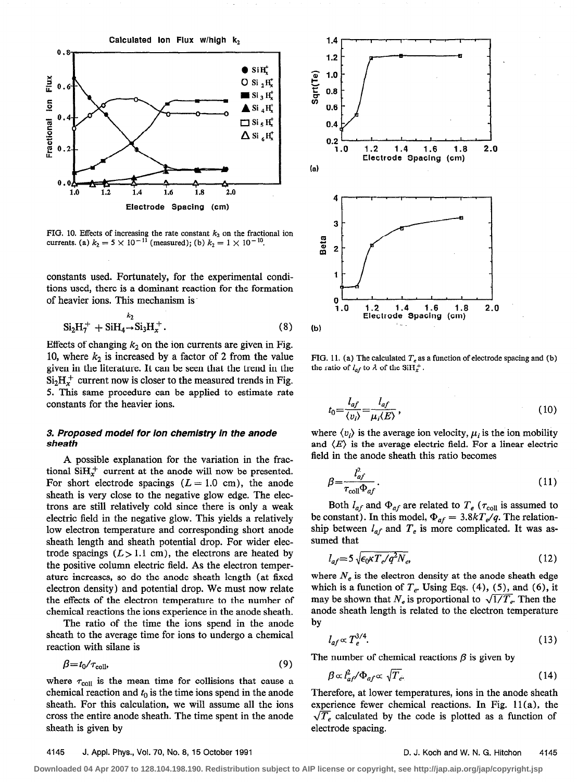

FIG. 10. Effects of increasing the rate constant  $k_2$  on the fractional ion currents. (a)  $k_2 = 5 \times 10^{-11}$  (measured); (b)  $k_2 = 1 \times 10^{-10}$ .

constants used. Fortunately, for the experimental conditions used, there is a dominant reaction for the formation of heavier ions. This mechanism is.

$$
Si_2H_7^+ + SiH_4 \to Si_3H_x^+.
$$
 (8)

Effects of changing  $k_2$  on the ion currents are given in Fig. 10, where  $k_2$  is increased by a factor of 2 from the value given in the literature. It can be seen that the trend in the  $Si<sub>2</sub>H<sub>x</sub><sup>+</sup>$  current now is closer to the measured trends in Fig. 5. This same procedure can be applied to estimate rate constants for the heavier ions.

#### 3. Proposed model for ion chemistry in the anode sheath

A possible explanation for the variation in the fractional  $SH_r^+$  current at the anode will now be presented. For short electrode spacings  $(L = 1.0 \text{ cm})$ , the anode sheath is very close to the negative glow edge. The electrons are still relatively cold since there is only a weak electric field in the negative glow. This yields a relatively low electron temperature and corresponding short anode sheath length and sheath potential drop. For wider electrode spacings  $(L > 1.1$  cm), the electrons are heated by the positive column electric field. As the electron temperature increases, so do the anode sheath length (at fixed electron density) and potential drop. We must now relate the effects of the electron temperature to the number of chemical reactions the ions experience in the anode sheath.

The ratio of the time the ions spend in the anode sheath to the average time for ions to undergo a chemical reaction with silane is

$$
\beta = t_0 / \tau_{\text{coll}},\tag{9}
$$

where  $\tau_{\text{coll}}$  is the mean time for collisions that cause a chemical reaction and  $t_0$  is the time ions spend in the anode sheath. For this calculation, we will assume all the ions cross the entire anode sheath. The time spent in the anode sheath is given by



FIG. 11. (a) The calculated  $T<sub>e</sub>$  as a function of electrode spacing and (b) the ratio of  $l_{af}$  to  $\lambda$  of the SiH<sub>x</sub><sup>+</sup>.

$$
t_0 = \frac{l_{af}}{\langle v_i \rangle} = \frac{l_{af}}{\mu_i \langle E \rangle},\tag{10}
$$

where  $\langle v_i \rangle$  is the average ion velocity,  $\mu_i$  is the ion mobility and  $\langle E \rangle$  is the average electric field. For a linear electric field in the anode sheath this ratio becomes

$$
\beta = \frac{l_{af}^2}{\tau_{\text{coll}} \Phi_{af}}.\tag{11}
$$

Both  $l_{af}$  and  $\Phi_{af}$  are related to  $T_e$  ( $\tau_{coll}$  is assumed to be constant). In this model,  $\Phi_{af} = 3.8kT_e/q$ . The relationship between  $l_{af}$  and  $T_e$  is more complicated. It was assumed that

$$
l_{af} = 5\sqrt{\epsilon_0 \kappa T_e / q^2 N_e} \tag{12}
$$

where  $N_e$  is the electron density at the anode sheath edge which is a function of  $T_e$ . Using Eqs. (4), (5), and (6), it may be shown that  $N_e$  is proportional to  $\sqrt{1/T_e}$ . Then the anode sheath length is related to the electron temperature by

$$
l_{af} \propto T_e^{3/4}.\tag{13}
$$

The number of chemical reactions  $\beta$  is given by

$$
\beta \propto l_{af}^2 / \Phi_{af} \propto \sqrt{T_{e^*}}
$$
 (14)

Therefore, at lower temperatures, ions in the anode sheath experience fewer chemical reactions. In Fig. 11 (a), the  $\sqrt{T_e}$  calculated by the code is plotted as a function of electrode spacing.

#### 4145 J. Appl. Phys., Vol. 70, No. 8, 15 October 1991 D. J. Koch and W. N. G. Hitchon 4145